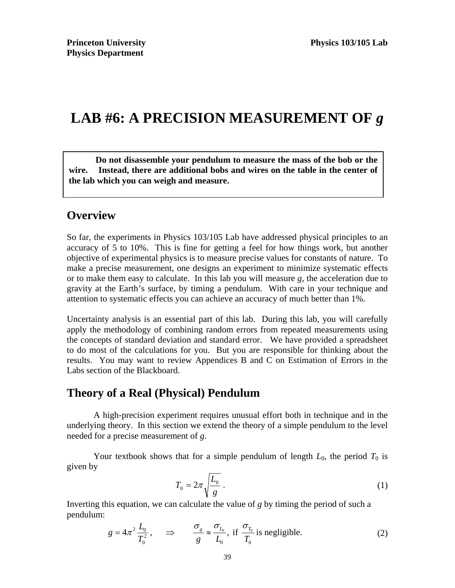# LAB #6: A PRECISION MEASUREMENT OF  $g$

**Do not disassemble your pendulum to measure the mass of the bob or the wire. Instead, there are additional bobs and wires on the table in the center of the lab which you can weigh and measure.** 

### **Overview**

So far, the experiments in Physics 103/105 Lab have addressed physical principles to an accuracy of 5 to 10%. This is fine for getting a feel for how things work, but another objective of experimental physics is to measure precise values for constants of nature. To make a precise measurement, one designs an experiment to minimize systematic effects or to make them easy to calculate. In this lab you will measure *g*, the acceleration due to gravity at the Earth's surface, by timing a pendulum. With care in your technique and attention to systematic effects you can achieve an accuracy of much better than 1%.

Uncertainty analysis is an essential part of this lab. During this lab, you will carefully apply the methodology of combining random errors from repeated measurements using the concepts of standard deviation and standard error.We have provided a spreadsheet to do most of the calculations for you. But you are responsible for thinking about the results. You may want to review Appendices B and C on Estimation of Errors in the Labs section of the Blackboard.

# **Theory of a Real (Physical) Pendulum**

A high-precision experiment requires unusual effort both in technique and in the underlying theory. In this section we extend the theory of a simple pendulum to the level needed for a precise measurement of *g*.

Your textbook shows that for a simple pendulum of length  $L_0$ , the period  $T_0$  is given by

$$
T_0 = 2\pi \sqrt{\frac{L_0}{g}} \ . \tag{1}
$$

Inverting this equation, we can calculate the value of *g* by timing the period of such a pendulum:

$$
g = 4\pi^2 \frac{L_0}{T_0^2}, \qquad \Rightarrow \qquad \frac{\sigma_g}{g} \approx \frac{\sigma_{L_0}}{L_0}, \text{ if } \frac{\sigma_{T_0}}{T_0} \text{ is negligible.} \tag{2}
$$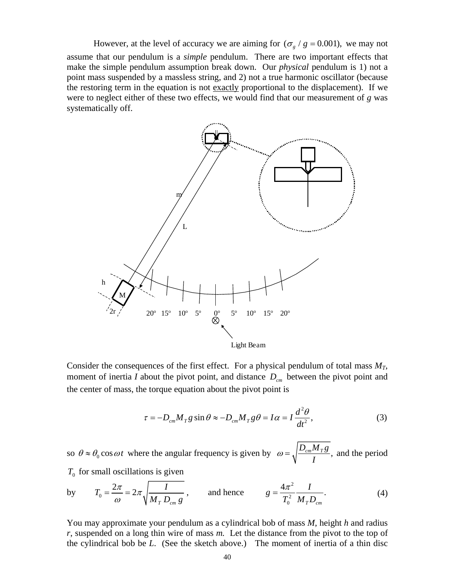However, at the level of accuracy we are aiming for  $(\sigma_g / g = 0.001)$ , we may not assume that our pendulum is a *simple* pendulum. There are two important effects that make the simple pendulum assumption break down. Our *physical* pendulum is 1) not a point mass suspended by a massless string, and 2) not a true harmonic oscillator (because the restoring term in the equation is not exactly proportional to the displacement). If we were to neglect either of these two effects, we would find that our measurement of *g* was systematically off.



Consider the consequences of the first effect. For a physical pendulum of total mass  $M_T$ , moment of inertia *I* about the pivot point, and distance  $D_{cm}$  between the pivot point and the center of mass, the torque equation about the pivot point is

$$
\tau = -D_{cm}M_T g \sin \theta \approx -D_{cm}M_T g \theta = I\alpha = I\frac{d^2\theta}{dt^2},
$$
\n(3)

so  $\theta \approx \theta_0 \cos \omega t$  where the angular frequency is given by  $\omega = \sqrt{\frac{D_{cm} M_T g}{I}}$ ,  $\omega = \sqrt{\frac{D_{cm}M_{T\delta}}{I}}$ , and the period  $T_0$  for small oscillations is given

by 
$$
T_0 = \frac{2\pi}{\omega} = 2\pi \sqrt{\frac{I}{M_T D_{cm} g}}
$$
, and hence  $g = \frac{4\pi^2}{T_0^2} \frac{I}{M_T D_{cm}}$ . (4)

You may approximate your pendulum as a cylindrical bob of mass *M*, height *h* and radius *r*, suspended on a long thin wire of mass *m.* Let the distance from the pivot to the top of the cylindrical bob be *L*. (See the sketch above.) The moment of inertia of a thin disc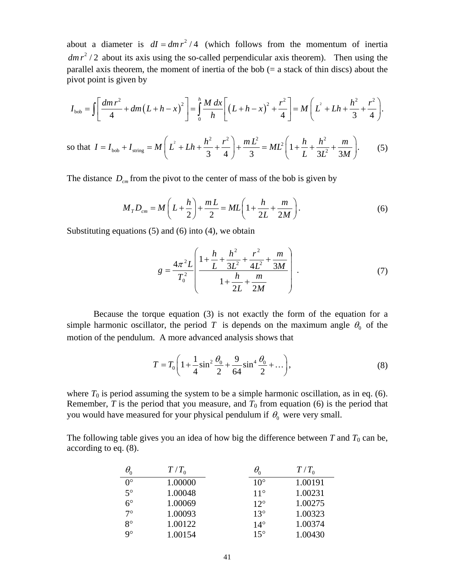about a diameter is  $dI = dm r^2 / 4$  (which follows from the momentum of inertia  $dm r<sup>2</sup>/2$  about its axis using the so-called perpendicular axis theorem). Then using the parallel axis theorem, the moment of inertia of the bob (= a stack of thin discs) about the pivot point is given by

$$
I_{\text{bob}} = \iint \left[ \frac{dm r^2}{4} + dm \left( L + h - x \right)^2 \right] = \int_0^h \frac{M}{h} \frac{dx}{h} \left[ \left( L + h - x \right)^2 + \frac{r^2}{4} \right] = M \left( L^2 + Lh + \frac{h^2}{3} + \frac{r^2}{4} \right).
$$

so that  $I = I_{\text{bob}} + I_{\text{string}} = M \left( L^2 + Lh + \frac{h^2}{3} + \frac{r^2}{4} \right) + \frac{m L^2}{3} = ML^2 \left( 1 + \frac{h}{L} + \frac{h^2}{3L^2} + \frac{m}{3M} \right)$ .  $I = I_{\text{both}} + I_{\text{string}} = M \left( L^2 + Lh + \frac{h^2}{2} + \frac{r^2}{r^2} \right) + \frac{m L^2}{2} = ML^2 \left( 1 + \frac{h}{2} + \frac{h^2}{2} + \frac{m}{2} \right)$ *LL M*  $=I_{\text{bob}}+I_{\text{string}}=M\left(L^{2}+Lh+\frac{h^{2}}{3}+\frac{r^{2}}{4}\right)+\frac{m L^{2}}{3}=ML^{2}\left(1+\frac{h}{L}+\frac{h^{2}}{3L^{2}}+\frac{m}{3M}\right).$  (5)

The distance  $D_{cm}$  from the pivot to the center of mass of the bob is given by

$$
M_{T}D_{cm} = M\left(L + \frac{h}{2}\right) + \frac{mL}{2} = ML\left(1 + \frac{h}{2L} + \frac{m}{2M}\right).
$$
 (6)

Substituting equations (5) and (6) into (4), we obtain

$$
g = \frac{4\pi^2 L}{T_0^2} \left( \frac{1 + \frac{h}{L} + \frac{h^2}{3L^2} + \frac{r^2}{4L^2} + \frac{m}{3M}}{1 + \frac{h}{2L} + \frac{m}{2M}} \right).
$$
(7)

Because the torque equation (3) is not exactly the form of the equation for a simple harmonic oscillator, the period T is depends on the maximum angle  $\theta_0$  of the motion of the pendulum. A more advanced analysis shows that

$$
T = T_0 \left( 1 + \frac{1}{4} \sin^2 \frac{\theta_0}{2} + \frac{9}{64} \sin^4 \frac{\theta_0}{2} + \dots \right),\tag{8}
$$

where  $T_0$  is period assuming the system to be a simple harmonic oscillation, as in eq. (6). Remember,  $T$  is the period that you measure, and  $T_0$  from equation (6) is the period that you would have measured for your physical pendulum if  $\theta_0$  were very small.

The following table gives you an idea of how big the difference between  $T$  and  $T_0$  can be, according to eq. (8).

|             | $T/T_0$ | $\theta^{}_0$ | $T/T_0$ |
|-------------|---------|---------------|---------|
| $0^{\circ}$ | 1.00000 | $10^{\circ}$  | 1.00191 |
| $5^\circ$   | 1.00048 | $11^{\circ}$  | 1.00231 |
| $6^{\circ}$ | 1.00069 | $12^{\circ}$  | 1.00275 |
| $7^\circ$   | 1.00093 | $13^{\circ}$  | 1.00323 |
| $8^{\circ}$ | 1.00122 | $14^{\circ}$  | 1.00374 |
| 9°          | 1.00154 | $15^{\circ}$  | 1.00430 |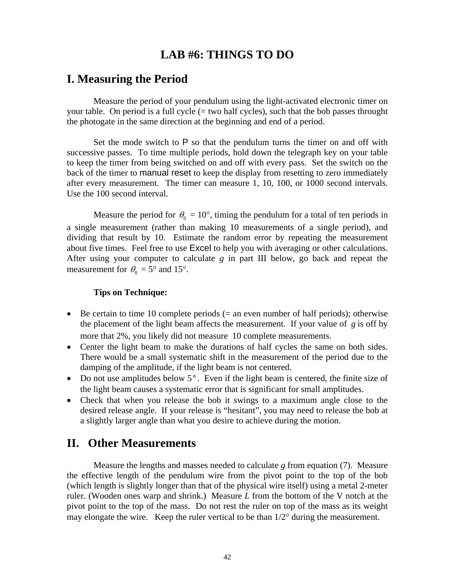### **LAB #6: THINGS TO DO**

### **I. Measuring the Period**

Measure the period of your pendulum using the light-activated electronic timer on your table. On period is a full cycle  $(= two half cycles)$ , such that the bob passes throught the photogate in the same direction at the beginning and end of a period.

Set the mode switch to  $P$  so that the pendulum turns the timer on and off with successive passes. To time multiple periods, hold down the telegraph key on your table to keep the timer from being switched on and off with every pass. Set the switch on the back of the timer to manual reset to keep the display from resetting to zero immediately after every measurement. The timer can measure 1, 10, 100, or 1000 second intervals. Use the 100 second interval.

Measure the period for  $\theta_0 = 10^{\circ}$ , timing the pendulum for a total of ten periods in a single measurement (rather than making 10 measurements of a single period), and dividing that result by 10. Estimate the random error by repeating the measurement about five times. Feel free to use Excel to help you with averaging or other calculations. After using your computer to calculate *g* in part III below, go back and repeat the measurement for  $\theta_0 = 5^\circ$  and 15°.

#### **Tips on Technique:**

- Be certain to time 10 complete periods  $(=$  an even number of half periods); otherwise the placement of the light beam affects the measurement. If your value of *g* is off by more that 2%, you likely did not measure 10 complete measurements.
- Center the light beam to make the durations of half cycles the same on both sides. There would be a small systematic shift in the measurement of the period due to the damping of the amplitude, if the light beam is not centered.
- Do not use amplitudes below 5°. Even if the light beam is centered, the finite size of the light beam causes a systematic error that is significant for small amplitudes.
- Check that when you release the bob it swings to a maximum angle close to the desired release angle. If your release is "hesitant", you may need to release the bob at a slightly larger angle than what you desire to achieve during the motion.

#### **II. Other Measurements**

Measure the lengths and masses needed to calculate *g* from equation (7). Measure the effective length of the pendulum wire from the pivot point to the top of the bob (which length is slightly longer than that of the physical wire itself) using a metal 2-meter ruler. (Wooden ones warp and shrink.) Measure *L* from the bottom of the V notch at the pivot point to the top of the mass. Do not rest the ruler on top of the mass as its weight may elongate the wire. Keep the ruler vertical to be than  $1/2^{\circ}$  during the measurement.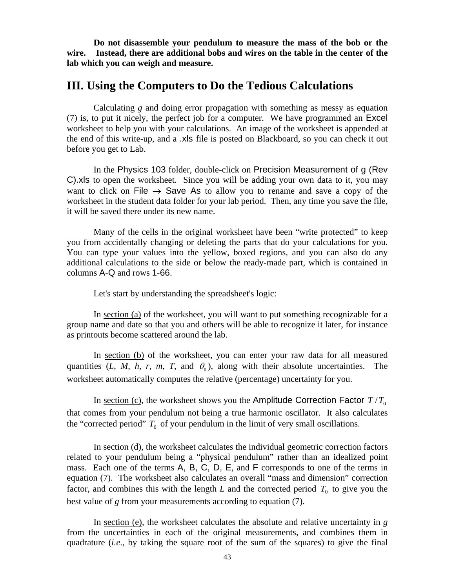**Do not disassemble your pendulum to measure the mass of the bob or the wire. Instead, there are additional bobs and wires on the table in the center of the lab which you can weigh and measure.** 

### **III. Using the Computers to Do the Tedious Calculations**

Calculating *g* and doing error propagation with something as messy as equation (7) is, to put it nicely, the perfect job for a computer. We have programmed an Excel worksheet to help you with your calculations. An image of the worksheet is appended at the end of this write-up, and a .xls file is posted on Blackboard, so you can check it out before you get to Lab.

In the Physics 103 folder, double-click on Precision Measurement of g (Rev C).xls to open the worksheet. Since you will be adding your own data to it, you may want to click on File  $\rightarrow$  Save As to allow you to rename and save a copy of the worksheet in the student data folder for your lab period. Then, any time you save the file, it will be saved there under its new name.

Many of the cells in the original worksheet have been "write protected" to keep you from accidentally changing or deleting the parts that do your calculations for you. You can type your values into the yellow, boxed regions, and you can also do any additional calculations to the side or below the ready-made part, which is contained in columns A-Q and rows 1-66.

Let's start by understanding the spreadsheet's logic:

In section (a) of the worksheet, you will want to put something recognizable for a group name and date so that you and others will be able to recognize it later, for instance as printouts become scattered around the lab.

In section (b) of the worksheet, you can enter your raw data for all measured quantities (*L*, *M*, *h*, *r*, *m*, *T*, and  $\theta_0$ ), along with their absolute uncertainties. The worksheet automatically computes the relative (percentage) uncertainty for you.

In section (c), the worksheet shows you the Amplitude Correction Factor  $T/T_0$ that comes from your pendulum not being a true harmonic oscillator. It also calculates the "corrected period"  $T_0$  of your pendulum in the limit of very small oscillations.

In section (d), the worksheet calculates the individual geometric correction factors related to your pendulum being a "physical pendulum" rather than an idealized point mass. Each one of the terms A, B, C, D, E, and F corresponds to one of the terms in equation (7). The worksheet also calculates an overall "mass and dimension" correction factor, and combines this with the length  $L$  and the corrected period  $T_0$  to give you the best value of *g* from your measurements according to equation (7).

In section (e), the worksheet calculates the absolute and relative uncertainty in *g* from the uncertainties in each of the original measurements, and combines them in quadrature (*i.e*., by taking the square root of the sum of the squares) to give the final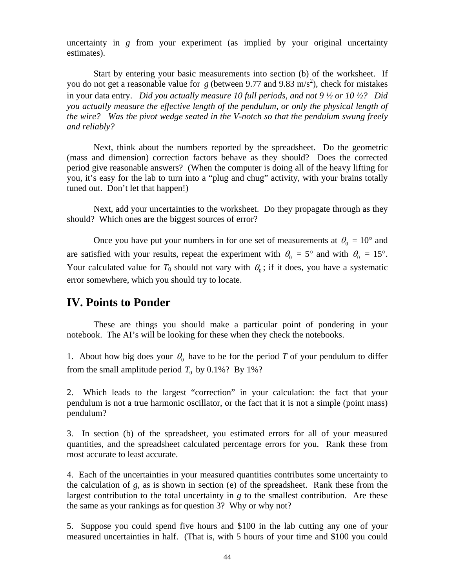uncertainty in *g* from your experiment (as implied by your original uncertainty estimates).

Start by entering your basic measurements into section (b) of the worksheet. If you do not get a reasonable value for  $g$  (between 9.77 and 9.83 m/s<sup>2</sup>), check for mistakes in your data entry. *Did you actually measure 10 full periods, and not 9 ½ or 10 ½? Did you actually measure the effective length of the pendulum, or only the physical length of the wire? Was the pivot wedge seated in the V-notch so that the pendulum swung freely and reliably?*

Next, think about the numbers reported by the spreadsheet. Do the geometric (mass and dimension) correction factors behave as they should? Does the corrected period give reasonable answers? (When the computer is doing all of the heavy lifting for you, it's easy for the lab to turn into a "plug and chug" activity, with your brains totally tuned out. Don't let that happen!)

Next, add your uncertainties to the worksheet. Do they propagate through as they should? Which ones are the biggest sources of error?

Once you have put your numbers in for one set of measurements at  $\theta_0 = 10^{\circ}$  and are satisfied with your results, repeat the experiment with  $\theta_0 = 5^\circ$  and with  $\theta_0 = 15^\circ$ . Your calculated value for  $T_0$  should not vary with  $\theta_0$ ; if it does, you have a systematic error somewhere, which you should try to locate.

### **IV. Points to Ponder**

These are things you should make a particular point of pondering in your notebook. The AI's will be looking for these when they check the notebooks.

1. About how big does your  $\theta_0$  have to be for the period *T* of your pendulum to differ from the small amplitude period  $T_0$  by 0.1%? By 1%?

2. Which leads to the largest "correction" in your calculation: the fact that your pendulum is not a true harmonic oscillator, or the fact that it is not a simple (point mass) pendulum?

3. In section (b) of the spreadsheet, you estimated errors for all of your measured quantities, and the spreadsheet calculated percentage errors for you. Rank these from most accurate to least accurate.

4. Each of the uncertainties in your measured quantities contributes some uncertainty to the calculation of *g*, as is shown in section (e) of the spreadsheet. Rank these from the largest contribution to the total uncertainty in *g* to the smallest contribution. Are these the same as your rankings as for question 3? Why or why not?

5. Suppose you could spend five hours and \$100 in the lab cutting any one of your measured uncertainties in half. (That is, with 5 hours of your time and \$100 you could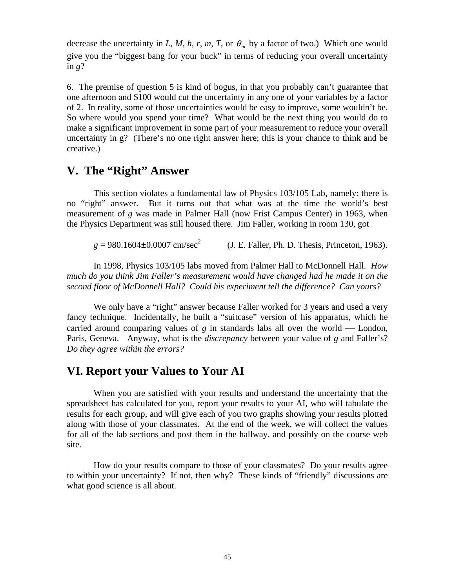decrease the uncertainty in *L*, *M*, *h*, *r*, *m*, *T*, or  $\theta_m$  by a factor of two.) Which one would give you the "biggest bang for your buck" in terms of reducing your overall uncertainty in  $g$ ?

6. The premise of question 5 is kind of bogus, in that you probably can't guarantee that one afternoon and \$100 would cut the uncertainty in any one of your variables by a factor of 2. In reality, some of those uncertainties would be easy to improve, some wouldn't be. So where would you spend your time? What would be the next thing you would do to make a significant improvement in some part of your measurement to reduce your overall uncertainty in g? (There's no one right answer here; this is your chance to think and be creative.)

### **V. The "Right" Answer**

This section violates a fundamental law of Physics 103/105 Lab, namely: there is no "right" answer. But it turns out that what was at the time the world's best measurement of *g* was made in Palmer Hall (now Frist Campus Center) in 1963, when the Physics Department was still housed there. Jim Faller, working in room 130, got

 $g = 980.1604 \pm 0.0007$  cm/sec<sup>2</sup> (J. E. Faller, Ph. D. Thesis, Princeton, 1963).

In 1998, Physics 103/105 labs moved from Palmer Hall to McDonnell Hall. *How much do you think Jim Faller's measurement would have changed had he made it on the second floor of McDonnell Hall? Could his experiment tell the difference? Can yours?*

We only have a "right" answer because Faller worked for 3 years and used a very fancy technique. Incidentally, he built a "suitcase" version of his apparatus, which he carried around comparing values of  $g$  in standards labs all over the world — London, Paris, Geneva. Anyway, what is the *discrepancy* between your value of *g* and Faller's? *Do they agree within the errors?*

# **VI. Report your Values to Your AI**

When you are satisfied with your results and understand the uncertainty that the spreadsheet has calculated for you, report your results to your AI, who will tabulate the results for each group, and will give each of you two graphs showing your results plotted along with those of your classmates. At the end of the week, we will collect the values for all of the lab sections and post them in the hallway, and possibly on the course web site.

How do your results compare to those of your classmates? Do your results agree to within your uncertainty? If not, then why? These kinds of "friendly" discussions are what good science is all about.